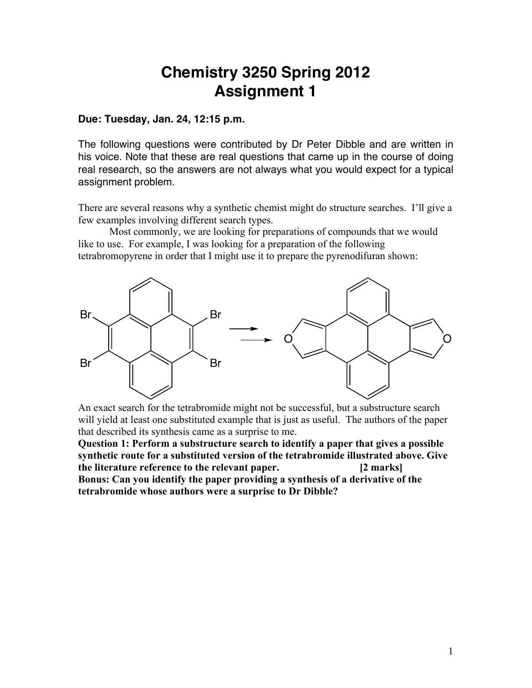## **Chemistry 3250 Spring 2012 Assignment 1**

## **Due: Tuesday, Jan. 24, 12:15 p.m.**

The following questions were contributed by Dr Peter Dibble and are written in his voice. Note that these are real questions that came up in the course of doing real research, so the answers are not always what you would expect for a typical assignment problem.

There are several reasons why a synthetic chemist might do structure searches. I'll give a few examples involving different search types.

Most commonly, we are looking for preparations of compounds that we would like to use. For example, I was looking for a preparation of the following tetrabromopyrene in order that I might use it to prepare the pyrenodifuran shown:



An exact search for the tetrabromide might not be successful, but a substructure search will yield at least one substituted example that is just as useful. The authors of the paper that described its synthesis came as a surprise to me.

**Question 1: Perform a substructure search to identify a paper that gives a possible synthetic route for a substituted version of the tetrabromide illustrated above. Give the literature reference to the relevant paper. [2 marks] Bonus: Can you identify the paper providing a synthesis of a derivative of the tetrabromide whose authors were a surprise to Dr Dibble?**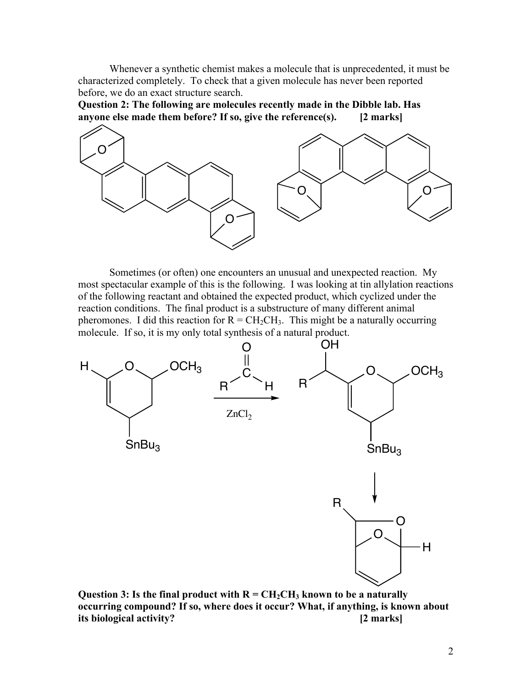Whenever a synthetic chemist makes a molecule that is unprecedented, it must be characterized completely. To check that a given molecule has never been reported before, we do an exact structure search.

**Question 2: The following are molecules recently made in the Dibble lab. Has anyone else made them before? If so, give the reference(s). [2 marks]**



Sometimes (or often) one encounters an unusual and unexpected reaction. My most spectacular example of this is the following. I was looking at tin allylation reactions of the following reactant and obtained the expected product, which cyclized under the reaction conditions. The final product is a substructure of many different animal pheromones. I did this reaction for  $R = CH_2CH_3$ . This might be a naturally occurring molecule. If so, it is my only total synthesis of a natural product.



Question 3: Is the final product with  $R = CH_2CH_3$  known to be a naturally **occurring compound? If so, where does it occur? What, if anything, is known about its biological activity? [2 marks]**